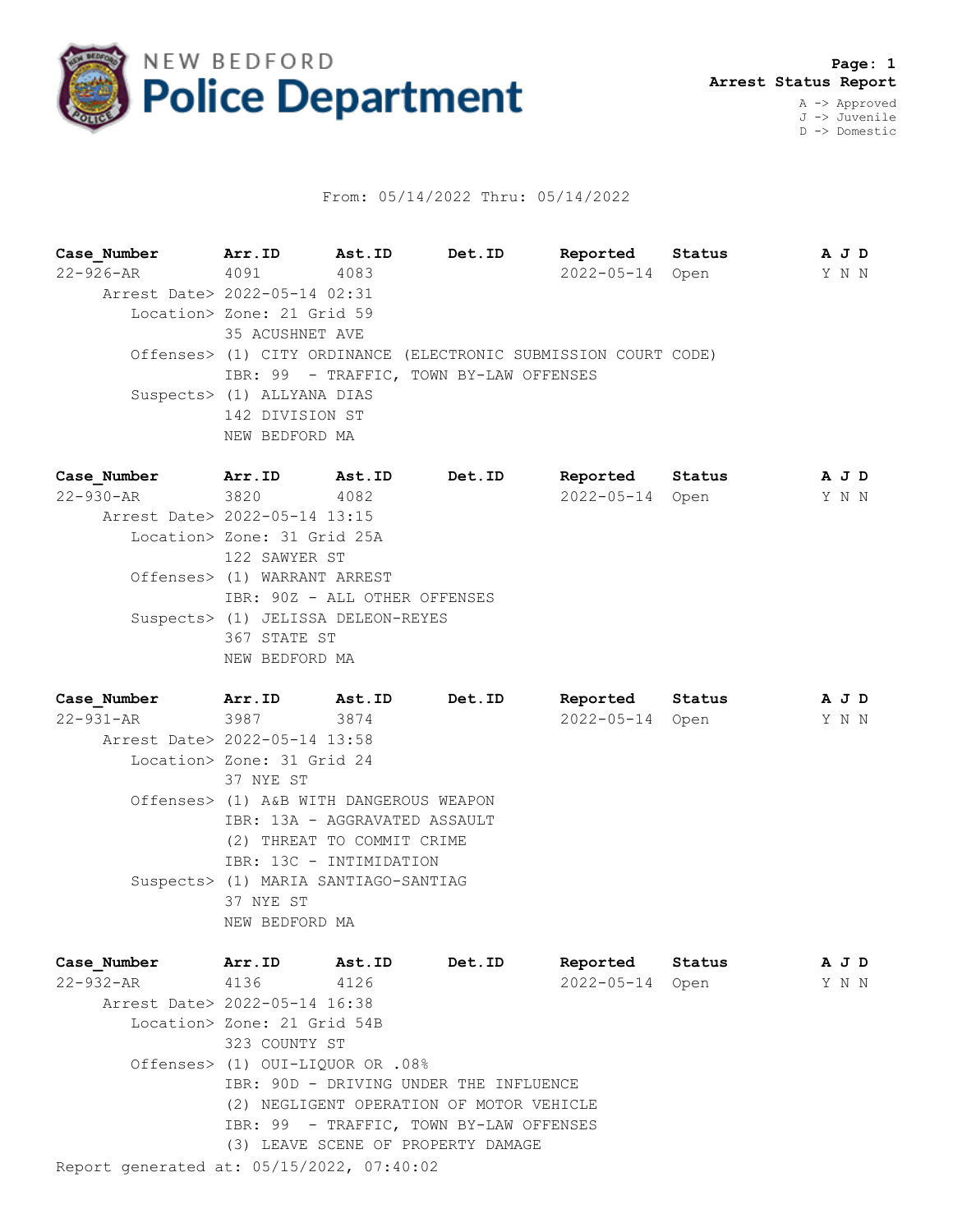

## From: 05/14/2022 Thru: 05/14/2022

**Case\_Number Arr.ID Ast.ID Det.ID Reported Status A J D** 22-926-AR 4091 4083 2022-05-14 Open Y N N Arrest Date> 2022-05-14 02:31 Location> Zone: 21 Grid 59 35 ACUSHNET AVE Offenses> (1) CITY ORDINANCE (ELECTRONIC SUBMISSION COURT CODE) IBR: 99 - TRAFFIC, TOWN BY-LAW OFFENSES Suspects> (1) ALLYANA DIAS 142 DIVISION ST NEW BEDFORD MA **Case\_Number Arr.ID Ast.ID Det.ID Reported Status A J D**

22-930-AR 3820 4082 2022-05-14 Open Y N N Arrest Date> 2022-05-14 13:15 Location> Zone: 31 Grid 25A 122 SAWYER ST Offenses> (1) WARRANT ARREST IBR: 90Z - ALL OTHER OFFENSES Suspects> (1) JELISSA DELEON-REYES 367 STATE ST NEW BEDFORD MA

**Case\_Number Arr.ID Ast.ID Det.ID Reported Status A J D** 22-931-AR 3987 3874 2022-05-14 Open Y N N Arrest Date> 2022-05-14 13:58 Location> Zone: 31 Grid 24 37 NYE ST Offenses> (1) A&B WITH DANGEROUS WEAPON IBR: 13A - AGGRAVATED ASSAULT (2) THREAT TO COMMIT CRIME IBR: 13C - INTIMIDATION Suspects> (1) MARIA SANTIAGO-SANTIAG 37 NYE ST NEW BEDFORD MA

| Case Number                               | Arr.ID                                   | Ast.ID                             | <b>Det.ID</b> | Reported        | Status |  | A J D |
|-------------------------------------------|------------------------------------------|------------------------------------|---------------|-----------------|--------|--|-------|
| 22-932-AR 4136 4126                       |                                          |                                    |               | 2022-05-14 Open |        |  | Y N N |
| Arrest Date> 2022-05-14 16:38             |                                          |                                    |               |                 |        |  |       |
|                                           | Location> Zone: 21 Grid 54B              |                                    |               |                 |        |  |       |
|                                           | 323 COUNTY ST                            |                                    |               |                 |        |  |       |
|                                           | Offenses> (1) OUI-LIQUOR OR .08%         |                                    |               |                 |        |  |       |
|                                           | IBR: 90D - DRIVING UNDER THE INFLUENCE   |                                    |               |                 |        |  |       |
|                                           | (2) NEGLIGENT OPERATION OF MOTOR VEHICLE |                                    |               |                 |        |  |       |
|                                           | IBR: 99 - TRAFFIC, TOWN BY-LAW OFFENSES  |                                    |               |                 |        |  |       |
|                                           |                                          | (3) LEAVE SCENE OF PROPERTY DAMAGE |               |                 |        |  |       |
| Report generated at: 05/15/2022, 07:40:02 |                                          |                                    |               |                 |        |  |       |